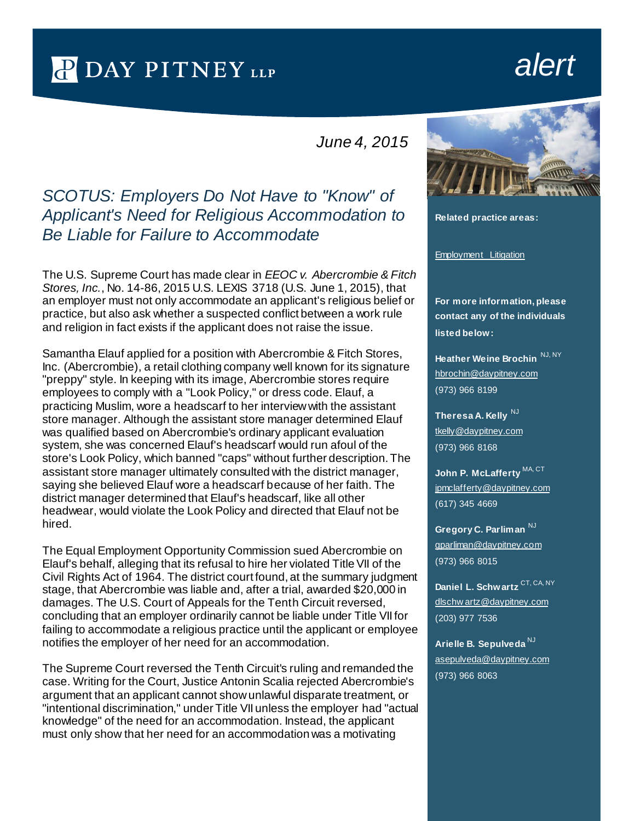## P DAY PITNEY LLP

## *alert*

*June 4, 2015*

## *SCOTUS: Employers Do Not Have to "Know" of Applicant's Need for Religious Accommodation to Be Liable for Failure to Accommodate*

The U.S. Supreme Court has made clear in *EEOC v. Abercrombie & Fitch Stores, Inc.*, No. 14-86, 2015 U.S. LEXIS 3718 (U.S. June 1, 2015), that an employer must not only accommodate an applicant's religious belief or practice, but also ask whether a suspected conflict between a work rule and religion in fact exists if the applicant does not raise the issue.

Samantha Elauf applied for a position with Abercrombie & Fitch Stores, Inc. (Abercrombie), a retail clothing company well known for its signature "preppy" style. In keeping with its image, Abercrombie stores require employees to comply with a "Look Policy," or dress code. Elauf, a practicing Muslim, wore a headscarf to her interview with the assistant store manager. Although the assistant store manager determined Elauf was qualified based on Abercrombie's ordinary applicant evaluation system, she was concerned Elauf's headscarf would run afoul of the store's Look Policy, which banned "caps" without further description. The assistant store manager ultimately consulted with the district manager, saying she believed Elauf wore a headscarf because of her faith. The district manager determined that Elauf's headscarf, like all other headwear, would violate the Look Policy and directed that Elauf not be hired.

The Equal Employment Opportunity Commission sued Abercrombie on Elauf's behalf, alleging that its refusal to hire her violated Title VII of the Civil Rights Act of 1964. The district court found, at the summary judgment stage, that Abercrombie was liable and, after a trial, awarded \$20,000 in damages. The U.S. Court of Appeals for the Tenth Circuit reversed, concluding that an employer ordinarily cannot be liable under Title VII for failing to accommodate a religious practice until the applicant or employee notifies the employer of her need for an accommodation.

The Supreme Court reversed the Tenth Circuit's ruling and remanded the case. Writing for the Court, Justice Antonin Scalia rejected Abercrombie's argument that an applicant cannot show unlawful disparate treatment, or "intentional discrimination," under Title VII unless the employer had "actual knowledge" of the need for an accommodation. Instead, the applicant must only show that her need for an accommodation was a motivating



**Related practice areas:**

[Employment Litigation](http://www.daypitney.com/practices/practice-detail.aspx?pid=31)

**For more information, please contact any of the individuals listed below:**

**Heather Weine Brochin** [hbrochin@daypitney.com](mailto:hbrochin@daypitney.com)  (973) 966 8199

**Theresa A. Kelly** NJ [tkelly@daypitney.com](mailto:tkelly@daypitney.com) (973) 966 8168

John P. McLafferty<sup>MA, CT</sup> [jpmclafferty@daypitney.com](mailto:jpmclafferty@daypitney.com)  (617) 345 4669

**Gregory C. Parliman**  $N_J$ [gparliman@daypitney.com](mailto:gparliman@daypitney.com)  (973) 966 8015

**Daniel L. Schwartz** CT, CA, NY [dlschw artz@daypitney.com](mailto:dlschwartz@daypitney.com)  (203) 977 7536

**Arielle B. Sepulveda** NJ [asepulveda@daypitney.com](mailto:asepulveda@daypitney.com) (973) 966 8063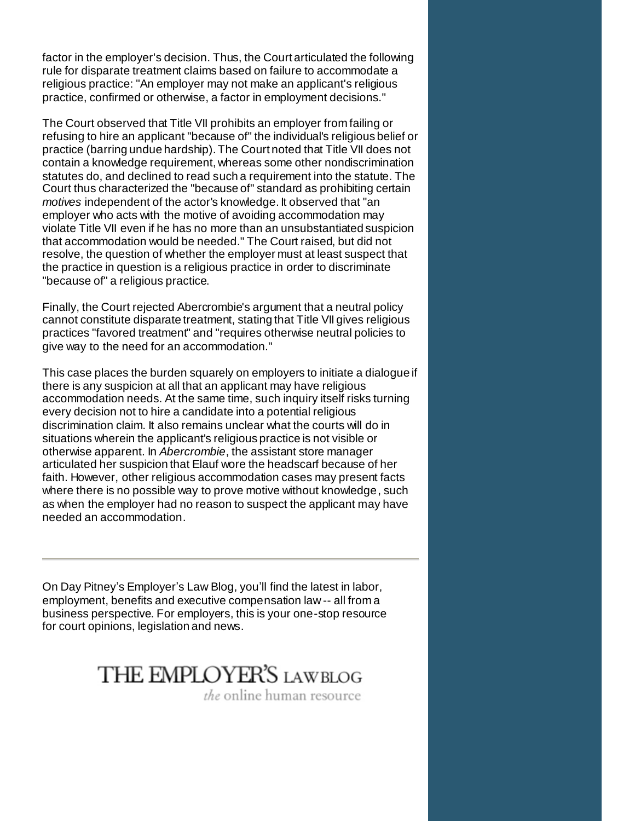factor in the employer's decision. Thus, the Court articulated the following rule for disparate treatment claims based on failure to accommodate a religious practice: "An employer may not make an applicant's religious practice, confirmed or otherwise, a factor in employment decisions."

The Court observed that Title VII prohibits an employer from failing or refusing to hire an applicant "because of" the individual's religious belief or practice (barring undue hardship). The Court noted that Title VII does not contain a knowledge requirement, whereas some other nondiscrimination statutes do, and declined to read such a requirement into the statute. The Court thus characterized the "because of" standard as prohibiting certain *motives* independent of the actor's knowledge. It observed that "an employer who acts with the motive of avoiding accommodation may violate Title VII even if he has no more than an unsubstantiated suspicion that accommodation would be needed." The Court raised, but did not resolve, the question of whether the employer must at least suspect that the practice in question is a religious practice in order to discriminate "because of" a religious practice.

Finally, the Court rejected Abercrombie's argument that a neutral policy cannot constitute disparate treatment, stating that Title VII gives religious practices "favored treatment" and "requires otherwise neutral policies to give way to the need for an accommodation."

This case places the burden squarely on employers to initiate a dialogue if there is any suspicion at all that an applicant may have religious accommodation needs. At the same time, such inquiry itself risks turning every decision not to hire a candidate into a potential religious discrimination claim. It also remains unclear what the courts will do in situations wherein the applicant's religious practice is not visible or otherwise apparent. In *Abercrombie*, the assistant store manager articulated her suspicion that Elauf wore the headscarf because of her faith. However, other religious accommodation cases may present facts where there is no possible way to prove motive without knowledge, such as when the employer had no reason to suspect the applicant may have needed an accommodation.

On Day Pitney's Employer's Law Blog, you'll find the latest in labor, employment, benefits and executive compensation law -- all from a business perspective. For employers, this is your one-stop resource for court opinions, legislation and news.

## THE EMPLOYER'S LAWBLOG

the online human resource